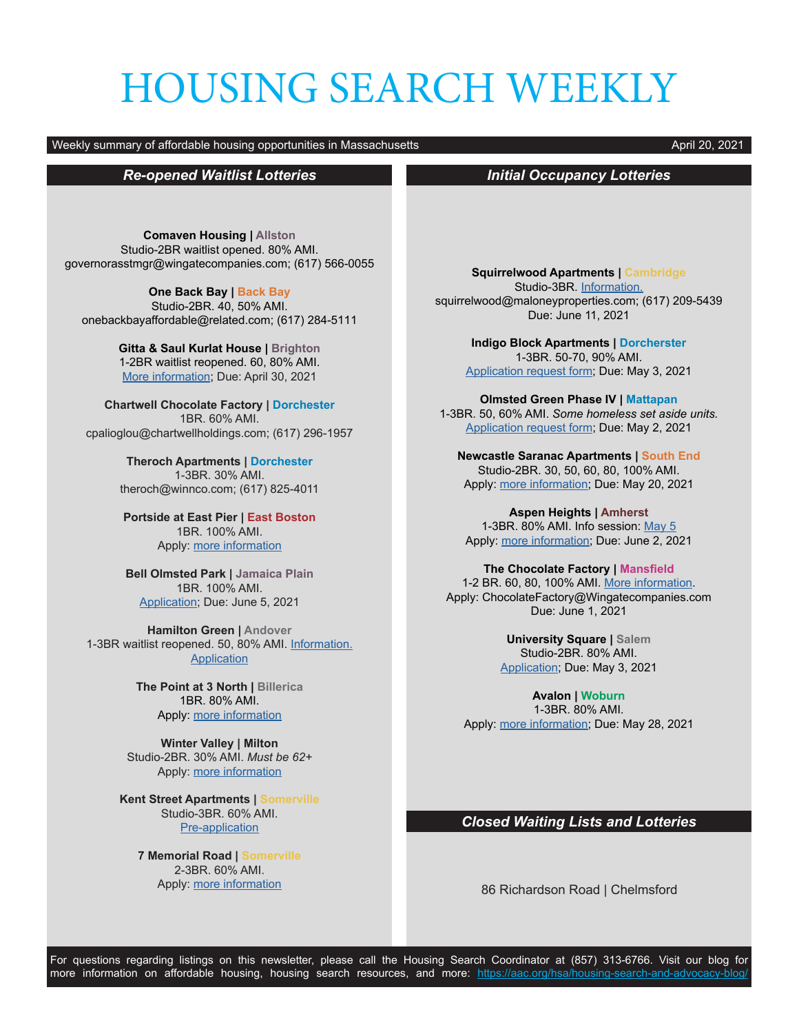# HOUSING SEARCH WEEKLY

#### Weekly summary of affordable housing opportunities in Massachusetts April 20, 2021

## *Re-opened Waitlist Lotteries*

**Comaven Housing | Allston** Studio-2BR waitlist opened. 80% AMI. governorasstmgr@wingatecompanies.com; (617) 566-0055

**One Back Bay | Back Bay** Studio-2BR. 40, 50% AMI. onebackbayaffordable@related.com; (617) 284-5111

> **Gitta & Saul Kurlat House | Brighton** 1-2BR waitlist reopened. 60, 80% AMI. [More information](https://www.2lifecommunities.org/live-here/apply-live-here); Due: April 30, 2021

**Chartwell Chocolate Factory | Dorchester** 1BR. 60% AMI. cpalioglou@chartwellholdings.com; (617) 296-1957

> **Theroch Apartments | Dorchester** 1-3BR. 30% AMI. theroch@winnco.com; (617) 825-4011

**Portside at East Pier | East Boston** 1BR. 100% AMI. Apply: [more information](https://www.maloneyrealestate.com/portside-first-come-first-serve-opportunity)

**Bell Olmsted Park | Jamaica Plain** 1BR. 100% AMI. [Application](https://www.boston.gov/sites/default/files/metrolist_pdf/2020/07/waiting-list-application-2020.pdf); Due: June 5, 2021

**Hamilton Green | Andover** 1-3BR waitlist reopened. 50, 80% AMI. [Information.](https://www.maloneyrealestate.com/affordable-Hamilton-Green-Apartments-Andover) **[Application](https://b386363e680359b5cc19-97ec1140354919029c7985d2568f0e82.ssl.cf1.rackcdn.com/ckeditor_assets/attachments/root/220141/Waiting_List_Application_-_Hamilton_Green.pdf)** 

> **The Point at 3 North | Billerica** 1BR. 80% AMI. Apply: [more information](https://sebhousing.com/property/the-point-at-3-north/)

**Winter Valley | Milton** Studio-2BR. 30% AMI. *Must be 62+* Apply: [more information](http://www.mreinc.org/winter.html)

**Kent Street Apartments | Somerville** Studio-3BR. 60% AMI. [Pre-application](https://cdngeneral.rentcafe.com/dmslivecafe/3/436785/3_436785_6148385.pdf)

**7 Memorial Road | Somerville** 2-3BR. 60% AMI. Apply: [more information](https://www.boston.gov/sites/default/files/metrolist_pdf/2020/07/scc--flyer.pdf)

## *Initial Occupancy Lotteries*

**Squirrelwood Apartments | Cambridge** Studio-3BR. [Information.](https://www.squirrelwoodapartments.com/rentalapplicationinformation.aspx) squirrelwood@maloneyproperties.com; (617) 209-5439 Due: June 11, 2021

> **Indigo Block Apartments | Dorcherster** 1-3BR. 50-70, 90% AMI. [Application request form](https://docs.google.com/forms/d/e/1FAIpQLSdj8ULtGIraQmitdM8Ij56bt50Pw1-vvolZ2VnuuGk9guqFxQ/viewform); Due: May 3, 2021

**Olmsted Green Phase IV | Mattapan** 1-3BR. 50, 60% AMI. *Some homeless set aside units.* [Application request form](https://docs.google.com/forms/d/e/1FAIpQLSeUqcAJbPAY9AwWMlBEjvZZqOf43wuuuUA1JhN55STReHCdaA/viewform); Due: May 2, 2021

**Newcastle Saranac Apartments | South End** Studio-2BR. 30, 50, 60, 80, 100% AMI. Apply: [more information;](https://www.boston.gov/sites/default/files/metrolist_pdf/2020/07/Newcastle%20Saranac%20BFHC%20Approved%20Ad_0.pdf) Due: May 20, 2021

**Aspen Heights | Amherst** 1-3BR. 80% AMI. Info session: [May 5](https://www.youtube.com/watch?v=-bSrAXtyvtY) Apply: [more information;](https://sebhousing.com/property/aspen-heights/) Due: June 2, 2021

**The Chocolate Factory | Mansfield** 1-2 BR. 60, 80, 100% AMI. [More information.](https://www.baystatebanner.com/real-estate-listing/the-chocolate-factory-apartments/) Apply: ChocolateFactory@Wingatecompanies.com Due: June 1, 2021

> **University Square | Salem** Studio-2BR. 80% AMI. [Application;](https://mcohousingservices.com/pdfs/rentals/universitysquare-application.pdf) Due: May 3, 2021

**Avalon | Woburn** 1-3BR. 80% AMI. Apply: [more information;](https://www.avaloncommunities.com/massachusetts/woburn-apartments/avalon-woburn) Due: May 28, 2021

### *Closed Waiting Lists and Lotteries*

86 Richardson Road | Chelmsford

For questions regarding listings on this newsletter, please call the Housing Search Coordinator at (857) 313-6766. Visit our blog for more information on affordable housing, housing search resources, and more: <https://aac.org/hsa/housing-search-and-advocacy-blog/>